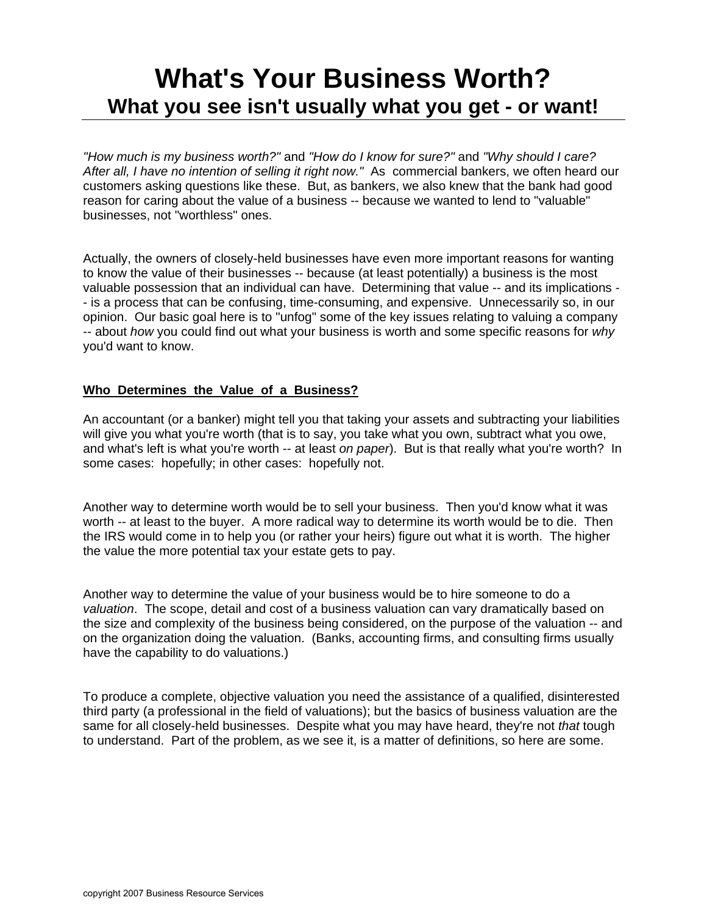# **What's Your Business Worth? What you see isn't usually what you get - or want!**

*"How much is my business worth?"* and *"How do I know for sure?"* and *"Why should I care? After all, I have no intention of selling it right now."* As commercial bankers, we often heard our customers asking questions like these. But, as bankers, we also knew that the bank had good reason for caring about the value of a business -- because we wanted to lend to "valuable" businesses, not "worthless" ones.

Actually, the owners of closely-held businesses have even more important reasons for wanting to know the value of their businesses -- because (at least potentially) a business is the most valuable possession that an individual can have. Determining that value -- and its implications - - is a process that can be confusing, time-consuming, and expensive. Unnecessarily so, in our opinion. Our basic goal here is to "unfog" some of the key issues relating to valuing a company -- about *how* you could find out what your business is worth and some specific reasons for *why* you'd want to know.

#### **Who Determines the Value of a Business?**

An accountant (or a banker) might tell you that taking your assets and subtracting your liabilities will give you what you're worth (that is to say, you take what you own, subtract what you owe, and what's left is what you're worth -- at least *on paper*). But is that really what you're worth? In some cases: hopefully; in other cases: hopefully not.

Another way to determine worth would be to sell your business. Then you'd know what it was worth -- at least to the buyer. A more radical way to determine its worth would be to die. Then the IRS would come in to help you (or rather your heirs) figure out what it is worth. The higher the value the more potential tax your estate gets to pay.

Another way to determine the value of your business would be to hire someone to do a *valuation*. The scope, detail and cost of a business valuation can vary dramatically based on the size and complexity of the business being considered, on the purpose of the valuation -- and on the organization doing the valuation. (Banks, accounting firms, and consulting firms usually have the capability to do valuations.)

To produce a complete, objective valuation you need the assistance of a qualified, disinterested third party (a professional in the field of valuations); but the basics of business valuation are the same for all closely-held businesses. Despite what you may have heard, they're not *that* tough to understand.Part of the problem, as we see it, is a matter of definitions, so here are some.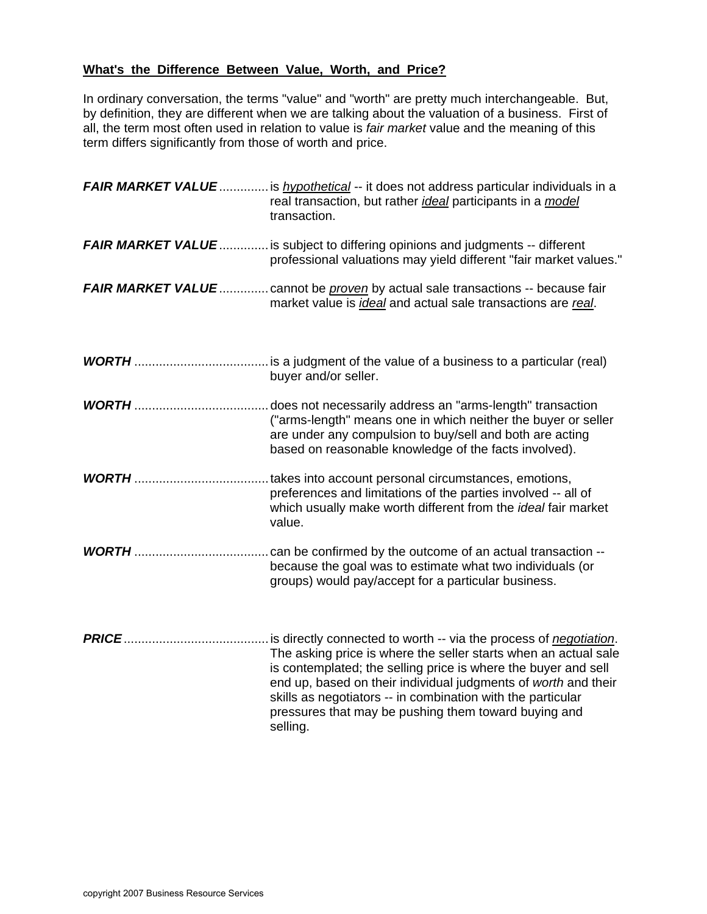# **What's the Difference Between Value, Worth, and Price?**

In ordinary conversation, the terms "value" and "worth" are pretty much interchangeable. But, by definition, they are different when we are talking about the valuation of a business. First of all, the term most often used in relation to value is *fair market* value and the meaning of this term differs significantly from those of worth and price.

|               | FAIR MARKET VALUE  is <i>hypothetical</i> -- it does not address particular individuals in a<br>real transaction, but rather <i>ideal</i> participants in a <i>model</i><br>transaction.                                                                                                                                                                                                                            |
|---------------|---------------------------------------------------------------------------------------------------------------------------------------------------------------------------------------------------------------------------------------------------------------------------------------------------------------------------------------------------------------------------------------------------------------------|
|               | <b>FAIR MARKET VALUE</b> is subject to differing opinions and judgments -- different<br>professional valuations may yield different "fair market values."                                                                                                                                                                                                                                                           |
|               | <b>FAIR MARKET VALUE</b> cannot be <i>proven</i> by actual sale transactions -- because fair<br>market value is <i>ideal</i> and actual sale transactions are real.                                                                                                                                                                                                                                                 |
|               | buyer and/or seller.                                                                                                                                                                                                                                                                                                                                                                                                |
|               | ("arms-length" means one in which neither the buyer or seller<br>are under any compulsion to buy/sell and both are acting<br>based on reasonable knowledge of the facts involved).                                                                                                                                                                                                                                  |
|               | takes into account personal circumstances, emotions,<br>preferences and limitations of the parties involved -- all of<br>which usually make worth different from the ideal fair market<br>value.                                                                                                                                                                                                                    |
| <b>WORTH</b>  | can be confirmed by the outcome of an actual transaction --<br>because the goal was to estimate what two individuals (or<br>groups) would pay/accept for a particular business.                                                                                                                                                                                                                                     |
| <b>PRICE.</b> | is directly connected to worth -- via the process of <i>negotiation</i> .<br>The asking price is where the seller starts when an actual sale<br>is contemplated; the selling price is where the buyer and sell<br>end up, based on their individual judgments of worth and their<br>skills as negotiators -- in combination with the particular<br>pressures that may be pushing them toward buying and<br>selling. |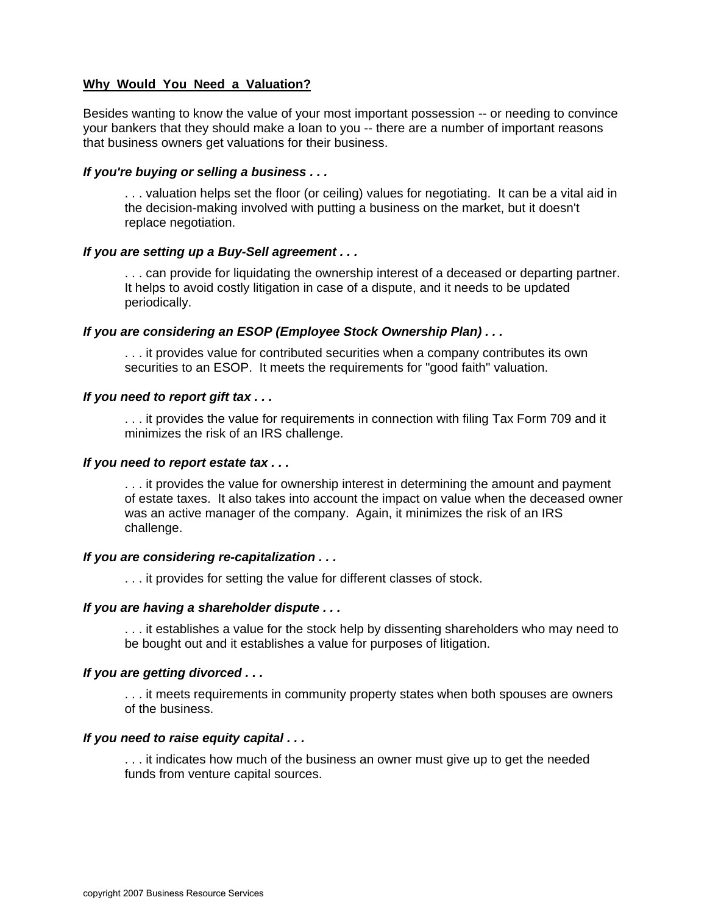### **Why Would You Need a Valuation?**

Besides wanting to know the value of your most important possession -- or needing to convince your bankers that they should make a loan to you -- there are a number of important reasons that business owners get valuations for their business.

#### *If you're buying or selling a business . . .*

. . . valuation helps set the floor (or ceiling) values for negotiating. It can be a vital aid in the decision-making involved with putting a business on the market, but it doesn't replace negotiation.

#### *If you are setting up a Buy-Sell agreement . . .*

. . . can provide for liquidating the ownership interest of a deceased or departing partner. It helps to avoid costly litigation in case of a dispute, and it needs to be updated periodically.

#### *If you are considering an ESOP (Employee Stock Ownership Plan) . . .*

. . . it provides value for contributed securities when a company contributes its own securities to an ESOP. It meets the requirements for "good faith" valuation.

#### *If you need to report gift tax . . .*

. . . it provides the value for requirements in connection with filing Tax Form 709 and it minimizes the risk of an IRS challenge.

#### *If you need to report estate tax . . .*

. . . it provides the value for ownership interest in determining the amount and payment of estate taxes. It also takes into account the impact on value when the deceased owner was an active manager of the company. Again, it minimizes the risk of an IRS challenge.

#### *If you are considering re-capitalization . . .*

. . . it provides for setting the value for different classes of stock.

#### *If you are having a shareholder dispute . . .*

. . . it establishes a value for the stock help by dissenting shareholders who may need to be bought out and it establishes a value for purposes of litigation.

#### *If you are getting divorced . . .*

. . . it meets requirements in community property states when both spouses are owners of the business.

#### *If you need to raise equity capital . . .*

. . . it indicates how much of the business an owner must give up to get the needed funds from venture capital sources.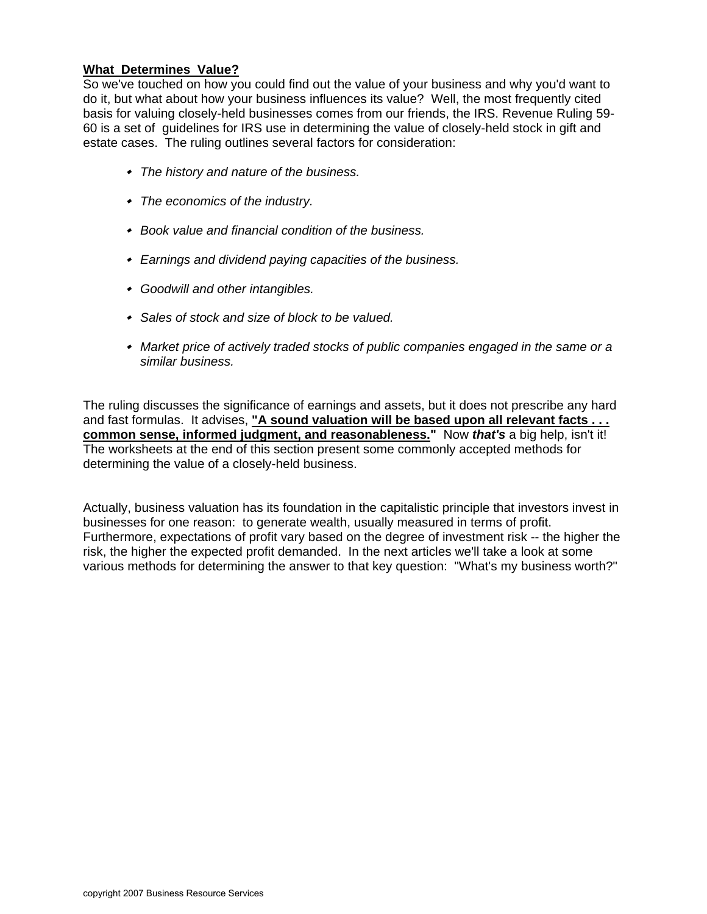## **What Determines Value?**

So we've touched on how you could find out the value of your business and why you'd want to do it, but what about how your business influences its value? Well, the most frequently cited basis for valuing closely-held businesses comes from our friends, the IRS. Revenue Ruling 59- 60 is a set of guidelines for IRS use in determining the value of closely-held stock in gift and estate cases. The ruling outlines several factors for consideration:

- *The history and nature of the business.*
- *The economics of the industry.*
- *Book value and financial condition of the business.*
- *Earnings and dividend paying capacities of the business.*
- *Goodwill and other intangibles.*
- *Sales of stock and size of block to be valued.*
- *Market price of actively traded stocks of public companies engaged in the same or a similar business.*

The ruling discusses the significance of earnings and assets, but it does not prescribe any hard and fast formulas. It advises, "A sound valuation will be based upon all relevant facts . . . **common sense, informed judgment, and reasonableness."** Now *that's* a big help, isn't it! The worksheets at the end of this section present some commonly accepted methods for determining the value of a closely-held business.

Actually, business valuation has its foundation in the capitalistic principle that investors invest in businesses for one reason: to generate wealth, usually measured in terms of profit. Furthermore, expectations of profit vary based on the degree of investment risk -- the higher the risk, the higher the expected profit demanded. In the next articles we'll take a look at some various methods for determining the answer to that key question: "What's my business worth?"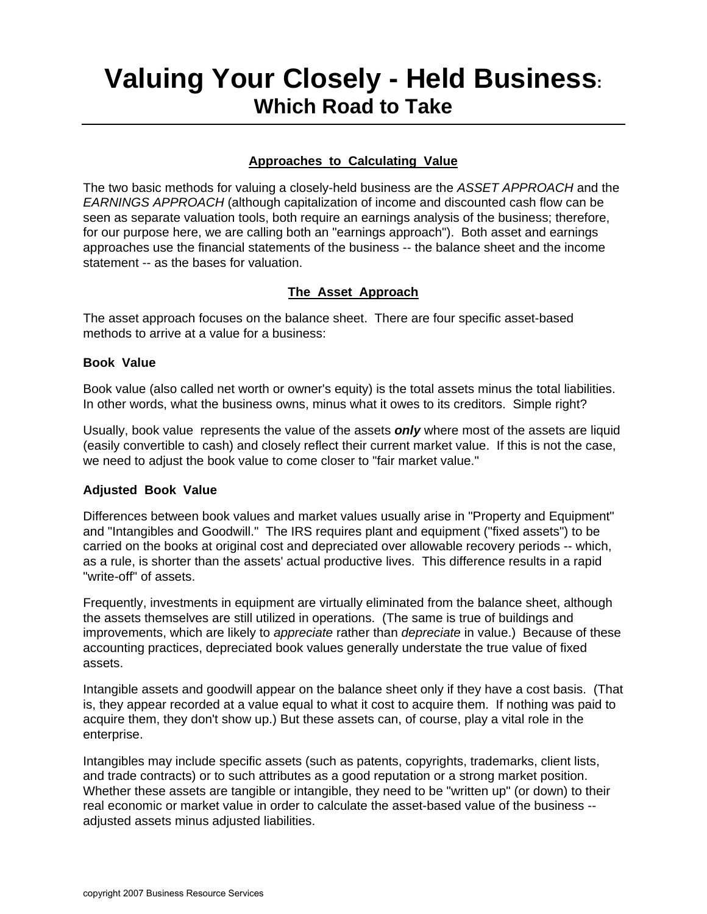# **Valuing Your Closely - Held Business: Which Road to Take**

# **Approaches to Calculating Value**

The two basic methods for valuing a closely-held business are the *ASSET APPROACH* and the *EARNINGS APPROACH* (although capitalization of income and discounted cash flow can be seen as separate valuation tools, both require an earnings analysis of the business; therefore, for our purpose here, we are calling both an "earnings approach"). Both asset and earnings approaches use the financial statements of the business -- the balance sheet and the income statement -- as the bases for valuation.

## **The Asset Approach**

The asset approach focuses on the balance sheet. There are four specific asset-based methods to arrive at a value for a business:

#### **Book Value**

Book value (also called net worth or owner's equity) is the total assets minus the total liabilities. In other words, what the business owns, minus what it owes to its creditors. Simple right?

Usually, book value represents the value of the assets *only* where most of the assets are liquid (easily convertible to cash) and closely reflect their current market value. If this is not the case, we need to adjust the book value to come closer to "fair market value."

#### **Adjusted Book Value**

Differences between book values and market values usually arise in "Property and Equipment" and "Intangibles and Goodwill." The IRS requires plant and equipment ("fixed assets") to be carried on the books at original cost and depreciated over allowable recovery periods -- which, as a rule, is shorter than the assets' actual productive lives. This difference results in a rapid "write-off" of assets.

Frequently, investments in equipment are virtually eliminated from the balance sheet, although the assets themselves are still utilized in operations. (The same is true of buildings and improvements, which are likely to *appreciate* rather than *depreciate* in value.) Because of these accounting practices, depreciated book values generally understate the true value of fixed assets.

Intangible assets and goodwill appear on the balance sheet only if they have a cost basis. (That is, they appear recorded at a value equal to what it cost to acquire them. If nothing was paid to acquire them, they don't show up.) But these assets can, of course, play a vital role in the enterprise.

Intangibles may include specific assets (such as patents, copyrights, trademarks, client lists, and trade contracts) or to such attributes as a good reputation or a strong market position. Whether these assets are tangible or intangible, they need to be "written up" (or down) to their real economic or market value in order to calculate the asset-based value of the business - adjusted assets minus adjusted liabilities.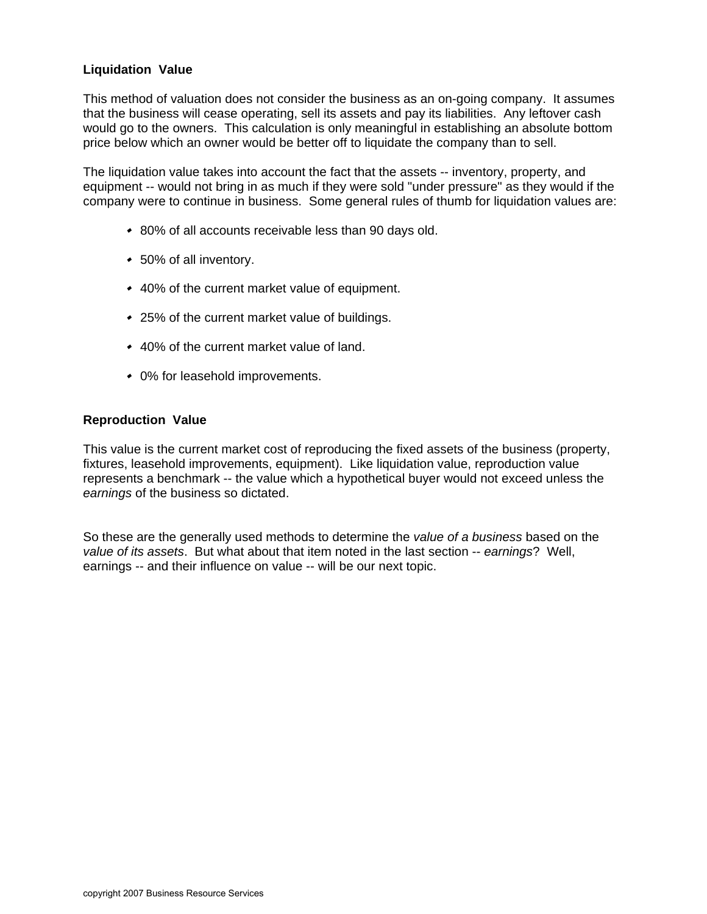## **Liquidation Value**

This method of valuation does not consider the business as an on-going company. It assumes that the business will cease operating, sell its assets and pay its liabilities. Any leftover cash would go to the owners. This calculation is only meaningful in establishing an absolute bottom price below which an owner would be better off to liquidate the company than to sell.

The liquidation value takes into account the fact that the assets -- inventory, property, and equipment -- would not bring in as much if they were sold "under pressure" as they would if the company were to continue in business. Some general rules of thumb for liquidation values are:

- 80% of all accounts receivable less than 90 days old.
- 50% of all inventory.
- 40% of the current market value of equipment.
- 25% of the current market value of buildings.
- 40% of the current market value of land.
- 0% for leasehold improvements.

#### **Reproduction Value**

This value is the current market cost of reproducing the fixed assets of the business (property, fixtures, leasehold improvements, equipment). Like liquidation value, reproduction value represents a benchmark -- the value which a hypothetical buyer would not exceed unless the *earnings* of the business so dictated.

So these are the generally used methods to determine the *value of a business* based on the *value of its assets*. But what about that item noted in the last section -- *earnings*? Well, earnings -- and their influence on value -- will be our next topic.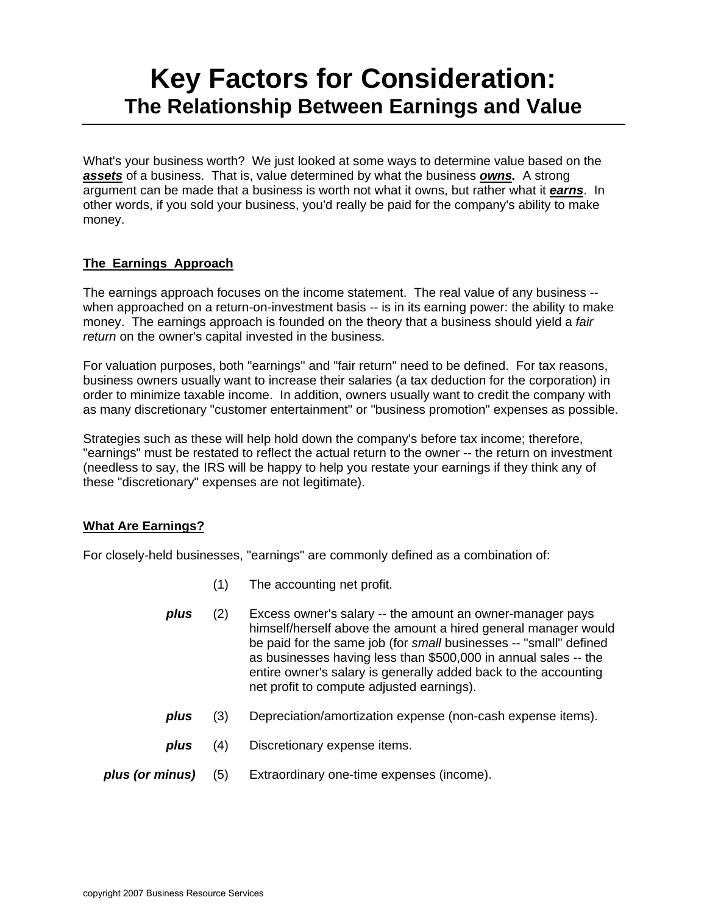# **Key Factors for Consideration: The Relationship Between Earnings and Value**

What's your business worth? We just looked at some ways to determine value based on the *assets* of a business. That is, value determined by what the business *owns.* A strong argument can be made that a business is worth not what it owns, but rather what it *earns*. In other words, if you sold your business, you'd really be paid for the company's ability to make money.

# **The Earnings Approach**

The earnings approach focuses on the income statement. The real value of any business - when approached on a return-on-investment basis -- is in its earning power: the ability to make money. The earnings approach is founded on the theory that a business should yield a *fair return* on the owner's capital invested in the business.

For valuation purposes, both "earnings" and "fair return" need to be defined. For tax reasons, business owners usually want to increase their salaries (a tax deduction for the corporation) in order to minimize taxable income. In addition, owners usually want to credit the company with as many discretionary "customer entertainment" or "business promotion" expenses as possible.

Strategies such as these will help hold down the company's before tax income; therefore, "earnings" must be restated to reflect the actual return to the owner -- the return on investment (needless to say, the IRS will be happy to help you restate your earnings if they think any of these "discretionary" expenses are not legitimate).

## **What Are Earnings?**

For closely-held businesses, "earnings" are commonly defined as a combination of:

- (1) The accounting net profit.
- *plus* (2) Excess owner's salary -- the amount an owner-manager pays himself/herself above the amount a hired general manager would be paid for the same job (for *small* businesses -- "small" defined as businesses having less than \$500,000 in annual sales -- the entire owner's salary is generally added back to the accounting net profit to compute adjusted earnings).
- *plus* (3) Depreciation/amortization expense (non-cash expense items).
- *plus* (4) Discretionary expense items.
- *plus (or minus)* (5) Extraordinary one-time expenses (income).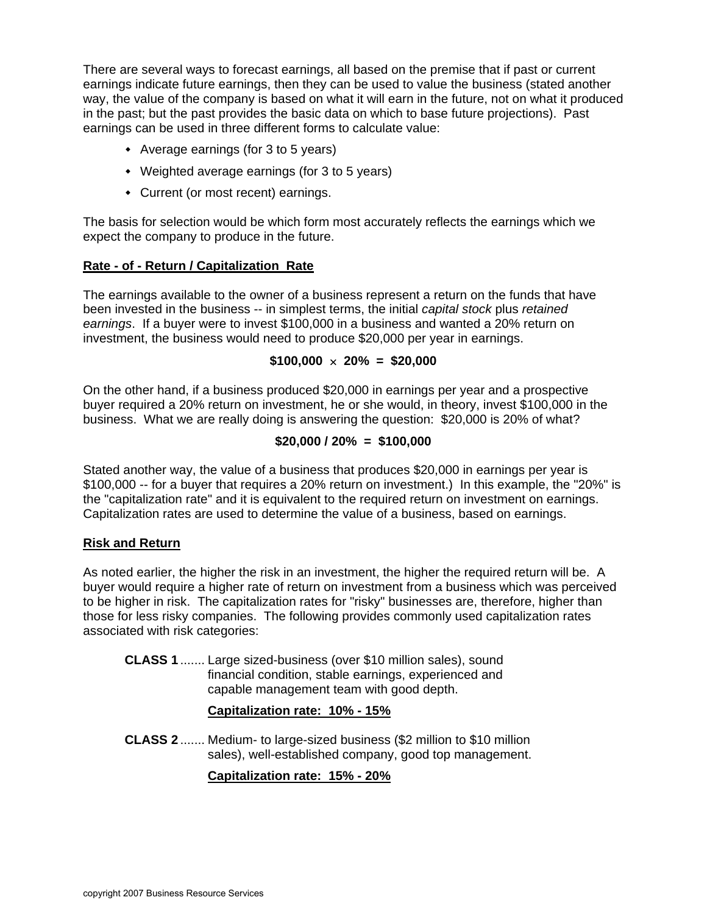There are several ways to forecast earnings, all based on the premise that if past or current earnings indicate future earnings, then they can be used to value the business (stated another way, the value of the company is based on what it will earn in the future, not on what it produced in the past; but the past provides the basic data on which to base future projections). Past earnings can be used in three different forms to calculate value:

- Average earnings (for 3 to 5 years)
- Weighted average earnings (for 3 to 5 years)
- Current (or most recent) earnings.

The basis for selection would be which form most accurately reflects the earnings which we expect the company to produce in the future.

#### **Rate - of - Return / Capitalization Rate**

The earnings available to the owner of a business represent a return on the funds that have been invested in the business -- in simplest terms, the initial *capital stock* plus *retained earnings*. If a buyer were to invest \$100,000 in a business and wanted a 20% return on investment, the business would need to produce \$20,000 per year in earnings.

#### $$100,000 \times 20\% = $20,000$

On the other hand, if a business produced \$20,000 in earnings per year and a prospective buyer required a 20% return on investment, he or she would, in theory, invest \$100,000 in the business. What we are really doing is answering the question: \$20,000 is 20% of what?

#### **\$20,000 / 20% = \$100,000**

Stated another way, the value of a business that produces \$20,000 in earnings per year is \$100,000 -- for a buyer that requires a 20% return on investment.) In this example, the "20%" is the "capitalization rate" and it is equivalent to the required return on investment on earnings. Capitalization rates are used to determine the value of a business, based on earnings.

#### **Risk and Return**

As noted earlier, the higher the risk in an investment, the higher the required return will be. A buyer would require a higher rate of return on investment from a business which was perceived to be higher in risk. The capitalization rates for "risky" businesses are, therefore, higher than those for less risky companies. The following provides commonly used capitalization rates associated with risk categories:

**CLASS 1** ....... Large sized-business (over \$10 million sales), sound financial condition, stable earnings, experienced and capable management team with good depth.

## **Capitalization rate: 10% - 15%**

**CLASS 2** ....... Medium- to large-sized business (\$2 million to \$10 million sales), well-established company, good top management.

## **Capitalization rate: 15% - 20%**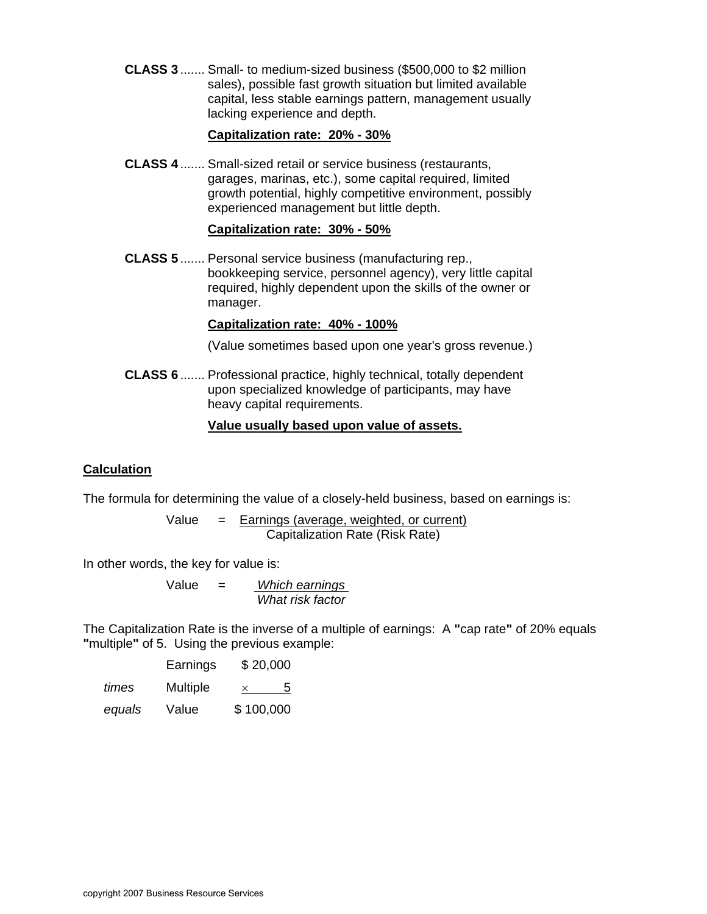**CLASS 3** ....... Small- to medium-sized business (\$500,000 to \$2 million sales), possible fast growth situation but limited available capital, less stable earnings pattern, management usually lacking experience and depth.

#### **Capitalization rate: 20% - 30%**

**CLASS 4** ....... Small-sized retail or service business (restaurants, garages, marinas, etc.), some capital required, limited growth potential, highly competitive environment, possibly experienced management but little depth.

## **Capitalization rate: 30% - 50%**

**CLASS 5** ....... Personal service business (manufacturing rep., bookkeeping service, personnel agency), very little capital required, highly dependent upon the skills of the owner or manager.

#### **Capitalization rate: 40% - 100%**

(Value sometimes based upon one year's gross revenue.)

**CLASS 6** ....... Professional practice, highly technical, totally dependent upon specialized knowledge of participants, may have heavy capital requirements.

## **Value usually based upon value of assets.**

#### **Calculation**

The formula for determining the value of a closely-held business, based on earnings is:

Value = Earnings (average, weighted, or current) Capitalization Rate (Risk Rate)

In other words, the key for value is:

Value = *Which earnings What risk factor*

The Capitalization Rate is the inverse of a multiple of earnings: A **"**cap rate**"** of 20% equals **"**multiple**"** of 5. Using the previous example:

|        | Earnings | \$20,000  |
|--------|----------|-----------|
| times  | Multiple | 5<br>×    |
| equals | Value    | \$100,000 |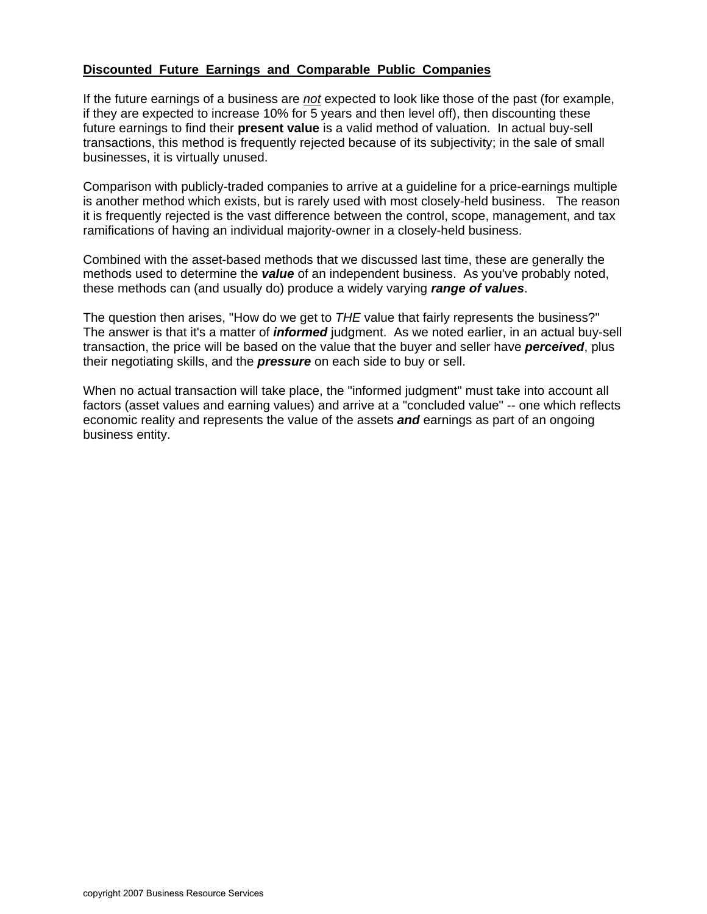# **Discounted Future Earnings and Comparable Public Companies**

If the future earnings of a business are *not* expected to look like those of the past (for example, if they are expected to increase 10% for 5 years and then level off), then discounting these future earnings to find their **present value** is a valid method of valuation. In actual buy-sell transactions, this method is frequently rejected because of its subjectivity; in the sale of small businesses, it is virtually unused.

Comparison with publicly-traded companies to arrive at a guideline for a price-earnings multiple is another method which exists, but is rarely used with most closely-held business. The reason it is frequently rejected is the vast difference between the control, scope, management, and tax ramifications of having an individual majority-owner in a closely-held business.

Combined with the asset-based methods that we discussed last time, these are generally the methods used to determine the *value* of an independent business. As you've probably noted, these methods can (and usually do) produce a widely varying *range of values*.

The question then arises, "How do we get to *THE* value that fairly represents the business?" The answer is that it's a matter of *informed* judgment. As we noted earlier, in an actual buy-sell transaction, the price will be based on the value that the buyer and seller have *perceived*, plus their negotiating skills, and the *pressure* on each side to buy or sell.

When no actual transaction will take place, the "informed judgment" must take into account all factors (asset values and earning values) and arrive at a "concluded value" -- one which reflects economic reality and represents the value of the assets *and* earnings as part of an ongoing business entity.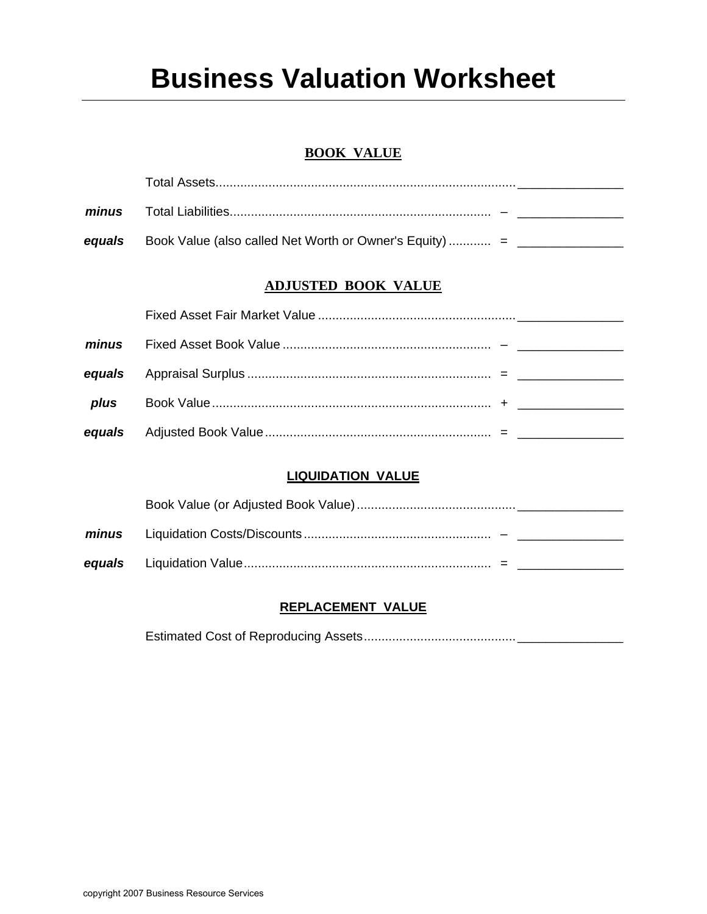# **Business Valuation Worksheet**

# **BOOK VALUE**

| minus  |                                                         |
|--------|---------------------------------------------------------|
| equals | Book Value (also called Net Worth or Owner's Equity)  = |

# **ADJUSTED BOOK VALUE**

| plus |  |  |
|------|--|--|
|      |  |  |

# **LIQUIDATION VALUE**

| minus |  |
|-------|--|
|       |  |

# **REPLACEMENT VALUE**

Estimated Cost of Reproducing Assets...........................................\_\_\_\_\_\_\_\_\_\_\_\_\_\_\_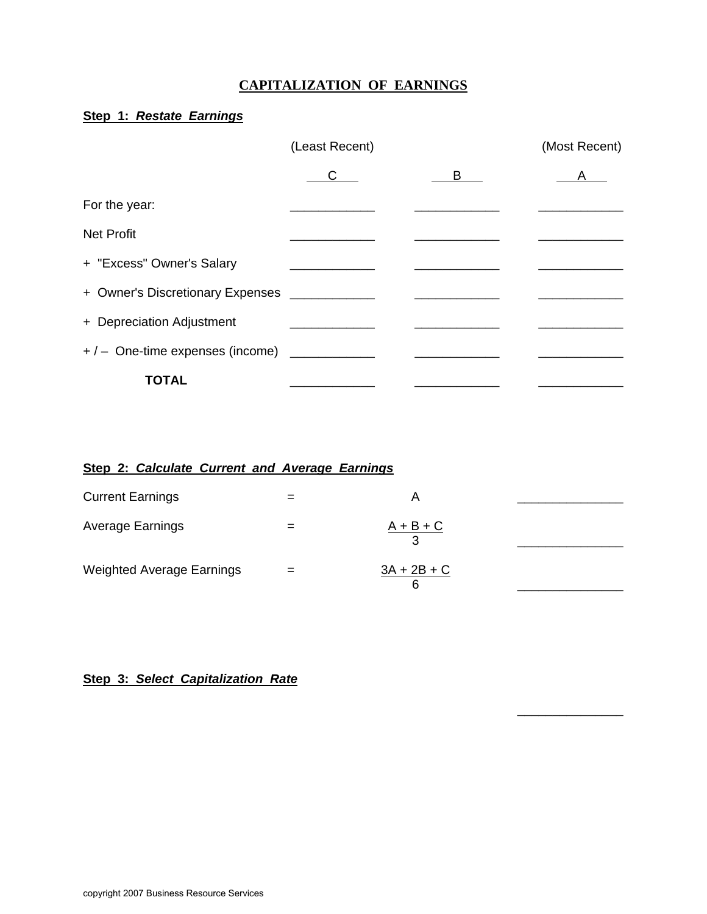# **CAPITALIZATION OF EARNINGS**

# **Step 1:** *Restate Earnings*

|                                           | (Least Recent) |   | (Most Recent) |
|-------------------------------------------|----------------|---|---------------|
|                                           | С              | B | A             |
| For the year:                             |                |   |               |
| <b>Net Profit</b>                         |                |   |               |
| + "Excess" Owner's Salary                 |                |   |               |
| + Owner's Discretionary Expenses          |                |   |               |
| + Depreciation Adjustment                 |                |   |               |
| +/- One-time expenses (income) __________ |                |   |               |
| TOTAL                                     |                |   |               |

# **Step 2:** *Calculate Current and Average Earnings*

| <b>Current Earnings</b>          | = | A                  |  |
|----------------------------------|---|--------------------|--|
| Average Earnings                 |   | $A + B + C$        |  |
| <b>Weighted Average Earnings</b> |   | $3A + 2B + C$<br>6 |  |

\_\_\_\_\_\_\_\_\_\_\_\_\_\_\_

# **Step 3:** *Select Capitalization Rate*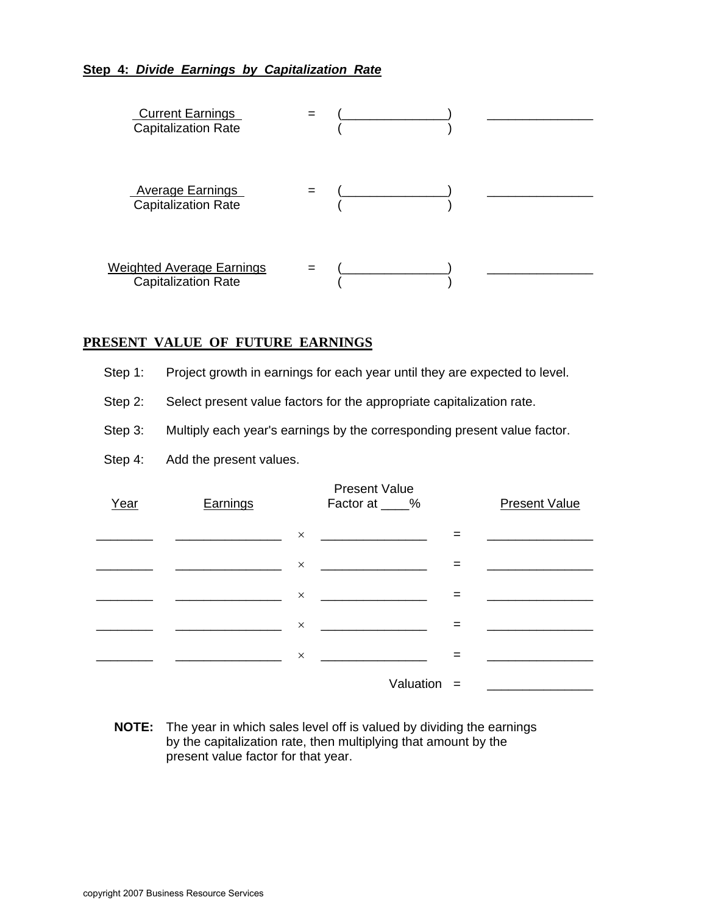## **Step 4:** *Divide Earnings by Capitalization Rate*



#### **PRESENT VALUE OF FUTURE EARNINGS**

- Step 1: Project growth in earnings for each year until they are expected to level.
- Step 2: Select present value factors for the appropriate capitalization rate.
- Step 3: Multiply each year's earnings by the corresponding present value factor.
- Step 4: Add the present values.

| Earnings |          | <b>Present Value</b><br>Factor at ____%          |     | <b>Present Value</b> |
|----------|----------|--------------------------------------------------|-----|----------------------|
|          |          |                                                  |     |                      |
|          | $\times$ | <u> 1980 - Jan Barbara Barbara, prima popula</u> | $=$ |                      |
|          | $\times$ |                                                  | $=$ |                      |
|          |          |                                                  | $=$ |                      |
|          | $\times$ |                                                  |     |                      |
|          |          | Valuation $=$                                    |     |                      |

**NOTE:** The year in which sales level off is valued by dividing the earnings by the capitalization rate, then multiplying that amount by the present value factor for that year.